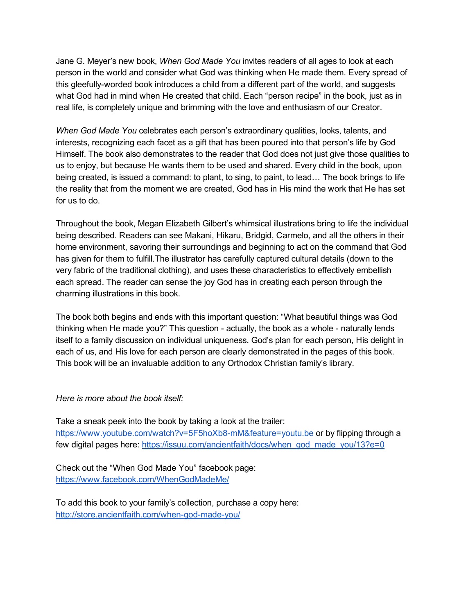Jane G. Meyer's new book, *When God Made You* invites readers of all ages to look at each person in the world and consider what God was thinking when He made them. Every spread of this gleefully-worded book introduces a child from a different part of the world, and suggests what God had in mind when He created that child. Each "person recipe" in the book, just as in real life, is completely unique and brimming with the love and enthusiasm of our Creator.

*When God Made You* celebrates each person's extraordinary qualities, looks, talents, and interests, recognizing each facet as a gift that has been poured into that person's life by God Himself. The book also demonstrates to the reader that God does not just give those qualities to us to enjoy, but because He wants them to be used and shared. Every child in the book, upon being created, is issued a command: to plant, to sing, to paint, to lead… The book brings to life the reality that from the moment we are created, God has in His mind the work that He has set for us to do.

Throughout the book, Megan Elizabeth Gilbert's whimsical illustrations bring to life the individual being described. Readers can see Makani, Hikaru, Bridgid, Carmelo, and all the others in their home environment, savoring their surroundings and beginning to act on the command that God has given for them to fulfill.The illustrator has carefully captured cultural details (down to the very fabric of the traditional clothing), and uses these characteristics to effectively embellish each spread. The reader can sense the joy God has in creating each person through the charming illustrations in this book.

The book both begins and ends with this important question: "What beautiful things was God thinking when He made you?" This question - actually, the book as a whole - naturally lends itself to a family discussion on individual uniqueness. God's plan for each person, His delight in each of us, and His love for each person are clearly demonstrated in the pages of this book. This book will be an invaluable addition to any Orthodox Christian family's library.

## *Here is more about the book itself:*

Take a sneak peek into the book by taking a look at the trailer: https://www.youtube.com/watch?v=5F5hoXb8-mM&feature=youtu.be or by flipping through a few digital pages here: [https://issuu.com/ancientfaith/docs/when\\_god\\_made\\_you/13?e=0](https://issuu.com/ancientfaith/docs/when_god_made_you/13?e=0)

Check out the "When God Made You" facebook page: <https://www.facebook.com/WhenGodMadeMe/>

To add this book to your family's collection, purchase a copy here: http://store.ancientfaith.com/when-god-made-you/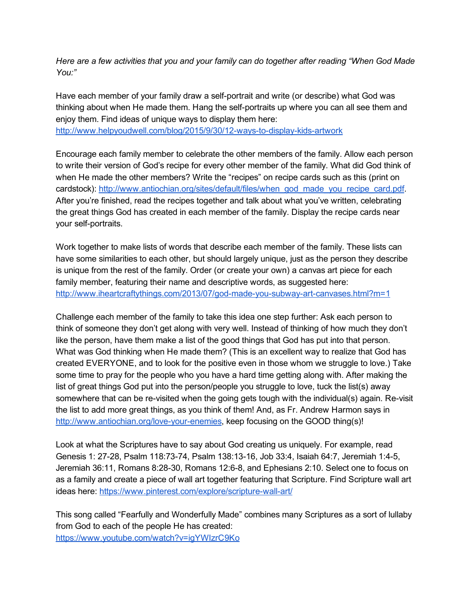*Here are a few activities that you and your family can do together after reading "When God Made You:"*

Have each member of your family draw a self-portrait and write (or describe) what God was thinking about when He made them. Hang the self-portraits up where you can all see them and enjoy them. Find ideas of unique ways to display them here: http://www.helpyoudwell.com/blog/2015/9/30/12-ways-to-display-kids-artwork

Encourage each family member to celebrate the other members of the family. Allow each person to write their version of God's recipe for every other member of the family. What did God think of when He made the other members? Write the "recipes" on recipe cards such as this (print on cardstock): [http://www.antiochian.org/sites/default/files/when\\_god\\_made\\_you\\_recipe\\_card.pdf](http://www.antiochian.org/sites/default/files/when_god_made_you_recipe_card.pdf). After you're finished, read the recipes together and talk about what you've written, celebrating the great things God has created in each member of the family. Display the recipe cards near your self-portraits.

Work together to make lists of words that describe each member of the family. These lists can have some similarities to each other, but should largely unique, just as the person they describe is unique from the rest of the family. Order (or create your own) a canvas art piece for each family member, featuring their name and descriptive words, as suggested here: http://www.iheartcraftythings.com/2013/07/god-made-you-subway-art-canvases.html?m=1

Challenge each member of the family to take this idea one step further: Ask each person to think of someone they don't get along with very well. Instead of thinking of how much they don't like the person, have them make a list of the good things that God has put into that person. What was God thinking when He made them? (This is an excellent way to realize that God has created EVERYONE, and to look for the positive even in those whom we struggle to love.) Take some time to pray for the people who you have a hard time getting along with. After making the list of great things God put into the person/people you struggle to love, tuck the list(s) away somewhere that can be re-visited when the going gets tough with the individual(s) again. Re-visit the list to add more great things, as you think of them! And, as Fr. Andrew Harmon says in http://www.antiochian.org/love-your-enemies, keep focusing on the GOOD thing(s)!

Look at what the Scriptures have to say about God creating us uniquely. For example, read Genesis 1: 27-28, Psalm 118:73-74, Psalm 138:13-16, Job 33:4, Isaiah 64:7, Jeremiah 1:4-5, Jeremiah 36:11, Romans 8:28-30, Romans 12:6-8, and Ephesians 2:10. Select one to focus on as a family and create a piece of wall art together featuring that Scripture. Find Scripture wall art ideas here: https://www.pinterest.com/explore/scripture-wall-art/

This song called "Fearfully and Wonderfully Made" combines many Scriptures as a sort of lullaby from God to each of the people He has created: <https://www.youtube.com/watch?v=igYWIzrC9Ko>